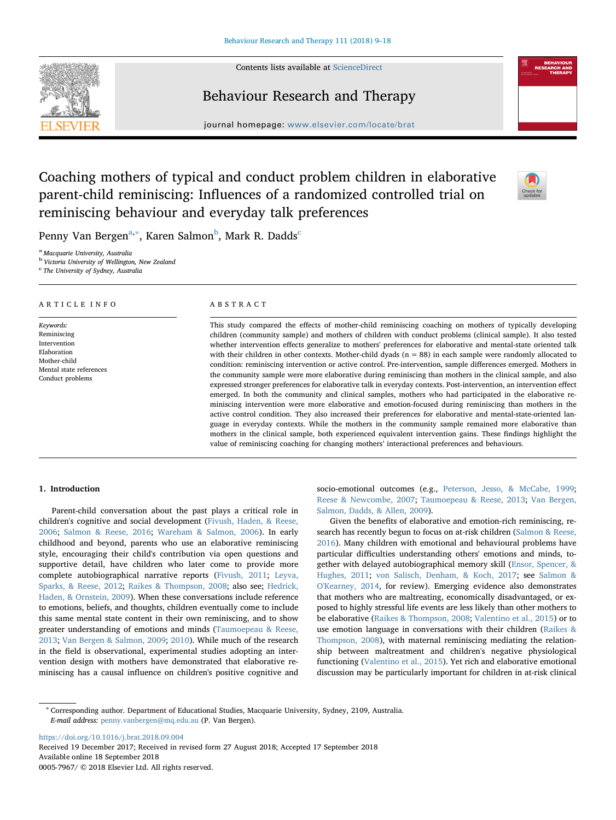Contents lists available at [ScienceDirect](http://www.sciencedirect.com/science/journal/00057967)



## Behaviour Research and Therapy

journal homepage: [www.elsevier.com/locate/brat](https://www.elsevier.com/locate/brat)

# Coaching mothers of typical and conduct problem children in elaborative parent-child reminiscing: Influences of a randomized controlled trial on reminiscing behaviour and everyday talk preferences



Penny V[a](#page-0-0)n Bergen $^{\mathrm{a},*}$ , Karen Salmon $^{\mathrm{b}}$  $^{\mathrm{b}}$  $^{\mathrm{b}}$ , Mark R. Dadds $^{\mathrm{c}}$  $^{\mathrm{c}}$  $^{\mathrm{c}}$ 

<span id="page-0-0"></span><sup>a</sup> Macquarie University, Australia

<span id="page-0-2"></span><sup>b</sup> Victoria University of Wellington, New Zealand

<span id="page-0-3"></span>c The University of Sydney, Australia

#### ARTICLE INFO

Keywords: Reminiscing Intervention Elaboration Mother-child Mental state references Conduct problems

#### ABSTRACT

This study compared the effects of mother-child reminiscing coaching on mothers of typically developing children (community sample) and mothers of children with conduct problems (clinical sample). It also tested whether intervention effects generalize to mothers' preferences for elaborative and mental-state oriented talk with their children in other contexts. Mother-child dyads  $(n = 88)$  in each sample were randomly allocated to condition: reminiscing intervention or active control. Pre-intervention, sample differences emerged. Mothers in the community sample were more elaborative during reminiscing than mothers in the clinical sample, and also expressed stronger preferences for elaborative talk in everyday contexts. Post-intervention, an intervention effect emerged. In both the community and clinical samples, mothers who had participated in the elaborative reminiscing intervention were more elaborative and emotion-focused during reminiscing than mothers in the active control condition. They also increased their preferences for elaborative and mental-state-oriented language in everyday contexts. While the mothers in the community sample remained more elaborative than mothers in the clinical sample, both experienced equivalent intervention gains. These findings highlight the value of reminiscing coaching for changing mothers' interactional preferences and behaviours.

## 1. Introduction

Parent-child conversation about the past plays a critical role in children's cognitive and social development ([Fivush, Haden, & Reese,](#page-9-0) [2006;](#page-9-0) [Salmon & Reese, 2016](#page-9-1); [Wareham & Salmon, 2006](#page-9-2)). In early childhood and beyond, parents who use an elaborative reminiscing style, encouraging their child's contribution via open questions and supportive detail, have children who later come to provide more complete autobiographical narrative reports ([Fivush, 2011](#page-8-0); [Leyva,](#page-9-3) [Sparks, & Reese, 2012;](#page-9-3) [Raikes & Thompson, 2008;](#page-9-4) also see; [Hedrick,](#page-9-5) [Haden, & Ornstein, 2009\)](#page-9-5). When these conversations include reference to emotions, beliefs, and thoughts, children eventually come to include this same mental state content in their own reminiscing, and to show greater understanding of emotions and minds [\(Taumoepeau & Reese,](#page-9-6) [2013;](#page-9-6) [Van Bergen & Salmon, 2009](#page-9-7); [2010](#page-9-8)). While much of the research in the field is observational, experimental studies adopting an intervention design with mothers have demonstrated that elaborative reminiscing has a causal influence on children's positive cognitive and socio-emotional outcomes (e.g., [Peterson, Jesso, & McCabe, 1999](#page-9-9); [Reese & Newcombe, 2007](#page-9-10); [Taumoepeau & Reese, 2013](#page-9-6); [Van Bergen,](#page-9-7) [Salmon, Dadds, & Allen, 2009\)](#page-9-7).

Given the benefits of elaborative and emotion-rich reminiscing, research has recently begun to focus on at-risk children [\(Salmon & Reese,](#page-9-1) [2016\)](#page-9-1). Many children with emotional and behavioural problems have particular difficulties understanding others' emotions and minds, together with delayed autobiographical memory skill ([Ensor, Spencer, &](#page-8-1) [Hughes, 2011](#page-8-1); [von Salisch, Denham, & Koch, 2017;](#page-9-11) see [Salmon &](#page-9-12) [O'Kearney, 2014,](#page-9-12) for review). Emerging evidence also demonstrates that mothers who are maltreating, economically disadvantaged, or exposed to highly stressful life events are less likely than other mothers to be elaborative [\(Raikes & Thompson, 2008;](#page-9-4) [Valentino et al., 2015\)](#page-9-13) or to use emotion language in conversations with their children ([Raikes &](#page-9-4) [Thompson, 2008](#page-9-4)), with maternal reminiscing mediating the relationship between maltreatment and children's negative physiological functioning [\(Valentino et al., 2015](#page-9-13)). Yet rich and elaborative emotional discussion may be particularly important for children in at-risk clinical

<https://doi.org/10.1016/j.brat.2018.09.004> Received 19 December 2017; Received in revised form 27 August 2018; Accepted 17 September 2018 Available online 18 September 2018 0005-7967/ © 2018 Elsevier Ltd. All rights reserved.

<span id="page-0-1"></span><sup>∗</sup> Corresponding author. Department of Educational Studies, Macquarie University, Sydney, 2109, Australia. E-mail address: [penny.vanbergen@mq.edu.au](mailto:penny.vanbergen@mq.edu.au) (P. Van Bergen).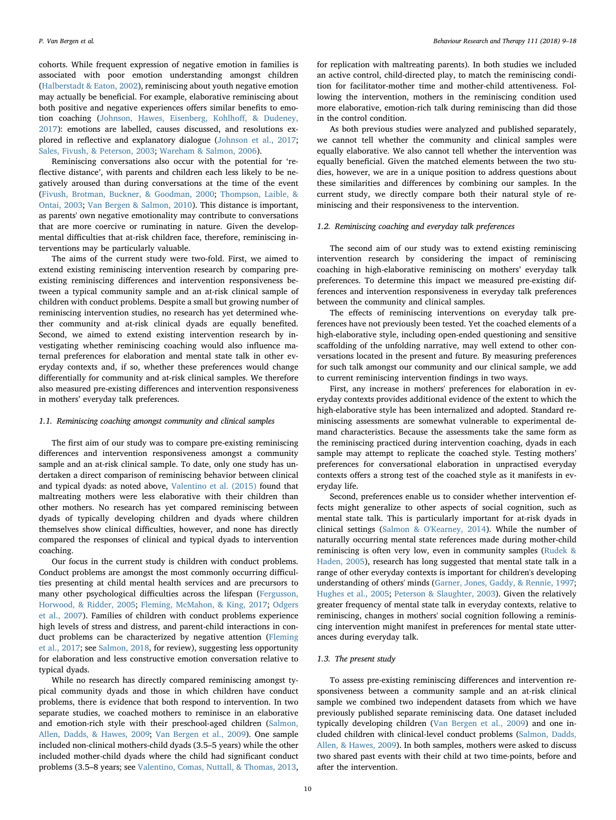cohorts. While frequent expression of negative emotion in families is associated with poor emotion understanding amongst children ([Halberstadt & Eaton, 2002](#page-9-14)), reminiscing about youth negative emotion may actually be beneficial. For example, elaborative reminiscing about both positive and negative experiences offers similar benefits to emotion coaching ([Johnson, Hawes, Eisenberg, Kohlho](#page-9-15)ff, & Dudeney, [2017\)](#page-9-15): emotions are labelled, causes discussed, and resolutions explored in reflective and explanatory dialogue ([Johnson et al., 2017](#page-9-15); [Sales, Fivush, & Peterson, 2003;](#page-9-16) [Wareham & Salmon, 2006](#page-9-2)).

Reminiscing conversations also occur with the potential for 'reflective distance', with parents and children each less likely to be negatively aroused than during conversations at the time of the event ([Fivush, Brotman, Buckner, & Goodman, 2000](#page-8-2); [Thompson, Laible, &](#page-9-17) [Ontai, 2003;](#page-9-17) [Van Bergen & Salmon, 2010\)](#page-9-8). This distance is important, as parents' own negative emotionality may contribute to conversations that are more coercive or ruminating in nature. Given the developmental difficulties that at-risk children face, therefore, reminiscing interventions may be particularly valuable.

The aims of the current study were two-fold. First, we aimed to extend existing reminiscing intervention research by comparing preexisting reminiscing differences and intervention responsiveness between a typical community sample and an at-risk clinical sample of children with conduct problems. Despite a small but growing number of reminiscing intervention studies, no research has yet determined whether community and at-risk clinical dyads are equally benefited. Second, we aimed to extend existing intervention research by investigating whether reminiscing coaching would also influence maternal preferences for elaboration and mental state talk in other everyday contexts and, if so, whether these preferences would change differentially for community and at-risk clinical samples. We therefore also measured pre-existing differences and intervention responsiveness in mothers' everyday talk preferences.

#### 1.1. Reminiscing coaching amongst community and clinical samples

The first aim of our study was to compare pre-existing reminiscing differences and intervention responsiveness amongst a community sample and an at-risk clinical sample. To date, only one study has undertaken a direct comparison of reminiscing behavior between clinical and typical dyads: as noted above, [Valentino et al. \(2015\)](#page-9-13) found that maltreating mothers were less elaborative with their children than other mothers. No research has yet compared reminiscing between dyads of typically developing children and dyads where children themselves show clinical difficulties, however, and none has directly compared the responses of clinical and typical dyads to intervention coaching.

Our focus in the current study is children with conduct problems. Conduct problems are amongst the most commonly occurring difficulties presenting at child mental health services and are precursors to many other psychological difficulties across the lifespan [\(Fergusson,](#page-8-3) [Horwood, & Ridder, 2005](#page-8-3); [Fleming, McMahon, & King, 2017;](#page-9-18) [Odgers](#page-9-19) [et al., 2007\)](#page-9-19). Families of children with conduct problems experience high levels of stress and distress, and parent-child interactions in conduct problems can be characterized by negative attention [\(Fleming](#page-9-18) [et al., 2017;](#page-9-18) see [Salmon, 2018](#page-9-20), for review), suggesting less opportunity for elaboration and less constructive emotion conversation relative to typical dyads.

While no research has directly compared reminiscing amongst typical community dyads and those in which children have conduct problems, there is evidence that both respond to intervention. In two separate studies, we coached mothers to reminisce in an elaborative and emotion-rich style with their preschool-aged children [\(Salmon,](#page-9-21) [Allen, Dadds, & Hawes, 2009;](#page-9-21) [Van Bergen et al., 2009\)](#page-9-7). One sample included non-clinical mothers-child dyads (3.5–5 years) while the other included mother-child dyads where the child had significant conduct problems (3.5–8 years; see [Valentino, Comas, Nuttall, & Thomas, 2013](#page-9-22),

for replication with maltreating parents). In both studies we included an active control, child-directed play, to match the reminiscing condition for facilitator-mother time and mother-child attentiveness. Following the intervention, mothers in the reminiscing condition used more elaborative, emotion-rich talk during reminiscing than did those in the control condition.

As both previous studies were analyzed and published separately, we cannot tell whether the community and clinical samples were equally elaborative. We also cannot tell whether the intervention was equally beneficial. Given the matched elements between the two studies, however, we are in a unique position to address questions about these similarities and differences by combining our samples. In the current study, we directly compare both their natural style of reminiscing and their responsiveness to the intervention.

## 1.2. Reminiscing coaching and everyday talk preferences

The second aim of our study was to extend existing reminiscing intervention research by considering the impact of reminiscing coaching in high-elaborative reminiscing on mothers' everyday talk preferences. To determine this impact we measured pre-existing differences and intervention responsiveness in everyday talk preferences between the community and clinical samples.

The effects of reminiscing interventions on everyday talk preferences have not previously been tested. Yet the coached elements of a high-elaborative style, including open-ended questioning and sensitive scaffolding of the unfolding narrative, may well extend to other conversations located in the present and future. By measuring preferences for such talk amongst our community and our clinical sample, we add to current reminiscing intervention findings in two ways.

First, any increase in mothers' preferences for elaboration in everyday contexts provides additional evidence of the extent to which the high-elaborative style has been internalized and adopted. Standard reminiscing assessments are somewhat vulnerable to experimental demand characteristics. Because the assessments take the same form as the reminiscing practiced during intervention coaching, dyads in each sample may attempt to replicate the coached style. Testing mothers' preferences for conversational elaboration in unpractised everyday contexts offers a strong test of the coached style as it manifests in everyday life.

Second, preferences enable us to consider whether intervention effects might generalize to other aspects of social cognition, such as mental state talk. This is particularly important for at-risk dyads in clinical settings [\(Salmon & O'Kearney, 2014](#page-9-12)). While the number of naturally occurring mental state references made during mother-child reminiscing is often very low, even in community samples [\(Rudek &](#page-9-23) [Haden,](#page-9-23) 2005), research has long suggested that mental state talk in a range of other everyday contexts is important for children's developing understanding of others' minds ([Garner, Jones, Gaddy, & Rennie, 1997](#page-9-24); [Hughes et al., 2005](#page-9-25); [Peterson & Slaughter, 2003](#page-9-26)). Given the relatively greater frequency of mental state talk in everyday contexts, relative to reminiscing, changes in mothers' social cognition following a reminiscing intervention might manifest in preferences for mental state utterances during everyday talk.

## 1.3. The present study

To assess pre-existing reminiscing differences and intervention responsiveness between a community sample and an at-risk clinical sample we combined two independent datasets from which we have previously published separate reminiscing data. One dataset included typically developing children [\(Van Bergen et al., 2009](#page-9-7)) and one included children with clinical-level conduct problems [\(Salmon, Dadds,](#page-9-21) [Allen, & Hawes, 2009](#page-9-21)). In both samples, mothers were asked to discuss two shared past events with their child at two time-points, before and after the intervention.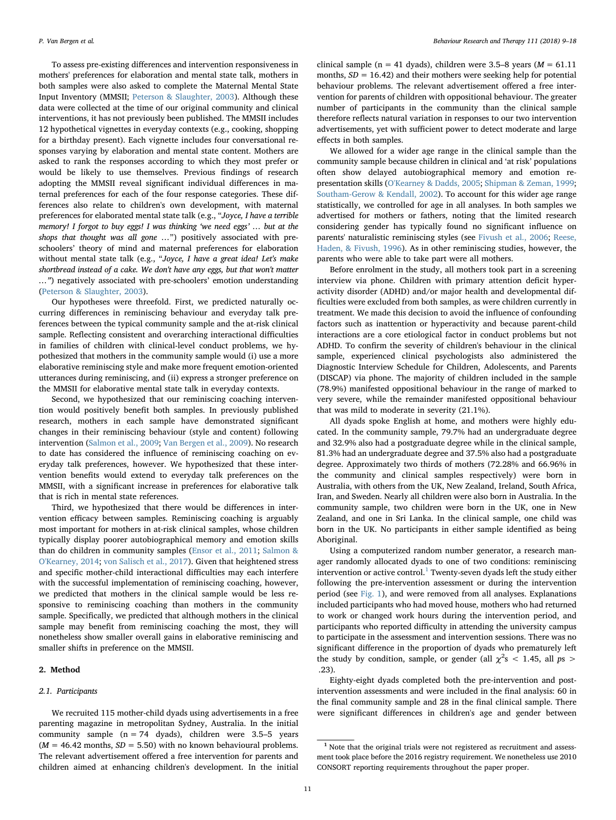To assess pre-existing differences and intervention responsiveness in mothers' preferences for elaboration and mental state talk, mothers in both samples were also asked to complete the Maternal Mental State Input Inventory (MMSII; [Peterson & Slaughter, 2003\)](#page-9-26). Although these data were collected at the time of our original community and clinical interventions, it has not previously been published. The MMSII includes 12 hypothetical vignettes in everyday contexts (e.g., cooking, shopping for a birthday present). Each vignette includes four conversational responses varying by elaboration and mental state content. Mothers are asked to rank the responses according to which they most prefer or would be likely to use themselves. Previous findings of research adopting the MMSII reveal significant individual differences in maternal preferences for each of the four response categories. These differences also relate to children's own development, with maternal preferences for elaborated mental state talk (e.g., "Joyce, I have a terrible memory! I forgot to buy eggs! I was thinking 'we need eggs' … but at the shops that thought was all gone …") positively associated with preschoolers' theory of mind and maternal preferences for elaboration without mental state talk (e.g., "Joyce, I have a great idea! Let's make shortbread instead of a cake. We don't have any eggs, but that won't matter …") negatively associated with pre-schoolers' emotion understanding ([Peterson & Slaughter, 2003](#page-9-26)).

Our hypotheses were threefold. First, we predicted naturally occurring differences in reminiscing behaviour and everyday talk preferences between the typical community sample and the at-risk clinical sample. Reflecting consistent and overarching interactional difficulties in families of children with clinical-level conduct problems, we hypothesized that mothers in the community sample would (i) use a more elaborative reminiscing style and make more frequent emotion-oriented utterances during reminiscing, and (ii) express a stronger preference on the MMSII for elaborative mental state talk in everyday contexts.

Second, we hypothesized that our reminiscing coaching intervention would positively benefit both samples. In previously published research, mothers in each sample have demonstrated significant changes in their reminiscing behaviour (style and content) following intervention ([Salmon et al., 2009;](#page-9-21) [Van Bergen et al., 2009\)](#page-9-7). No research to date has considered the influence of reminiscing coaching on everyday talk preferences, however. We hypothesized that these intervention benefits would extend to everyday talk preferences on the MMSII, with a significant increase in preferences for elaborative talk that is rich in mental state references.

Third, we hypothesized that there would be differences in intervention efficacy between samples. Reminiscing coaching is arguably most important for mothers in at-risk clinical samples, whose children typically display poorer autobiographical memory and emotion skills than do children in community samples ([Ensor et al., 2011](#page-8-1); [Salmon &](#page-9-12) [O'Kearney, 2014;](#page-9-12) von [Salisch et al., 2017\)](#page-9-11). Given that heightened stress and specific mother-child interactional difficulties may each interfere with the successful implementation of reminiscing coaching, however, we predicted that mothers in the clinical sample would be less responsive to reminiscing coaching than mothers in the community sample. Specifically, we predicted that although mothers in the clinical sample may benefit from reminiscing coaching the most, they will nonetheless show smaller overall gains in elaborative reminiscing and smaller shifts in preference on the MMSII.

#### 2. Method

## 2.1. Participants

We recruited 115 mother-child dyads using advertisements in a free parenting magazine in metropolitan Sydney, Australia. In the initial community sample  $(n = 74 \text{ dyads})$ , children were 3.5–5 years  $(M = 46.42 \text{ months}, SD = 5.50)$  with no known behavioural problems. The relevant advertisement offered a free intervention for parents and children aimed at enhancing children's development. In the initial clinical sample (n = 41 dyads), children were 3.5–8 years ( $M = 61.11$ months,  $SD = 16.42$ ) and their mothers were seeking help for potential behaviour problems. The relevant advertisement offered a free intervention for parents of children with oppositional behaviour. The greater number of participants in the community than the clinical sample therefore reflects natural variation in responses to our two intervention advertisements, yet with sufficient power to detect moderate and large effects in both samples.

We allowed for a wider age range in the clinical sample than the community sample because children in clinical and 'at risk' populations often show delayed autobiographical memory and emotion representation skills [\(O'Kearney & Dadds, 2005;](#page-9-27) [Shipman & Zeman, 1999](#page-9-28); [Southam-Gerow & Kendall, 2002](#page-9-29)). To account for this wider age range statistically, we controlled for age in all analyses. In both samples we advertised for mothers or fathers, noting that the limited research considering gender has typically found no significant influence on parents' naturalistic reminiscing styles (see [Fivush et al., 2006](#page-9-0); [Reese,](#page-9-30) [Haden, & Fivush, 1996\)](#page-9-30). As in other reminiscing studies, however, the parents who were able to take part were all mothers.

Before enrolment in the study, all mothers took part in a screening interview via phone. Children with primary attention deficit hyperactivity disorder (ADHD) and/or major health and developmental difficulties were excluded from both samples, as were children currently in treatment. We made this decision to avoid the influence of confounding factors such as inattention or hyperactivity and because parent-child interactions are a core etiological factor in conduct problems but not ADHD. To confirm the severity of children's behaviour in the clinical sample, experienced clinical psychologists also administered the Diagnostic Interview Schedule for Children, Adolescents, and Parents (DISCAP) via phone. The majority of children included in the sample (78.9%) manifested oppositional behaviour in the range of marked to very severe, while the remainder manifested oppositional behaviour that was mild to moderate in severity (21.1%).

All dyads spoke English at home, and mothers were highly educated. In the community sample, 79.7% had an undergraduate degree and 32.9% also had a postgraduate degree while in the clinical sample, 81.3% had an undergraduate degree and 37.5% also had a postgraduate degree. Approximately two thirds of mothers (72.28% and 66.96% in the community and clinical samples respectively) were born in Australia, with others from the UK, New Zealand, Ireland, South Africa, Iran, and Sweden. Nearly all children were also born in Australia. In the community sample, two children were born in the UK, one in New Zealand, and one in Sri Lanka. In the clinical sample, one child was born in the UK. No participants in either sample identified as being Aboriginal.

Using a computerized random number generator, a research manager randomly allocated dyads to one of two conditions: reminiscing intervention or active control.<sup>[1](#page-2-0)</sup> Twenty-seven dyads left the study either following the pre-intervention assessment or during the intervention period (see [Fig. 1](#page-3-0)), and were removed from all analyses. Explanations included participants who had moved house, mothers who had returned to work or changed work hours during the intervention period, and participants who reported difficulty in attending the university campus to participate in the assessment and intervention sessions. There was no significant difference in the proportion of dyads who prematurely left the study by condition, sample, or gender (all  $\chi^2$ s < 1.45, all ps > .23).

Eighty-eight dyads completed both the pre-intervention and postintervention assessments and were included in the final analysis: 60 in the final community sample and 28 in the final clinical sample. There were significant differences in children's age and gender between

<span id="page-2-0"></span> $^{\rm 1}$  Note that the original trials were not registered as recruitment and assessment took place before the 2016 registry requirement. We nonetheless use 2010 CONSORT reporting requirements throughout the paper proper.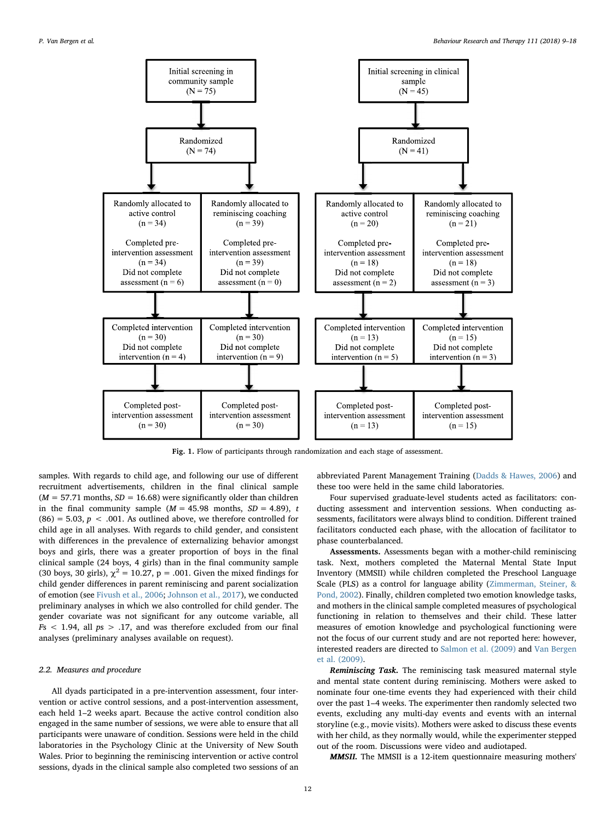<span id="page-3-0"></span>

Fig. 1. Flow of participants through randomization and each stage of assessment.

samples. With regards to child age, and following our use of different recruitment advertisements, children in the final clinical sample  $(M = 57.71$  months,  $SD = 16.68$ ) were significantly older than children in the final community sample ( $M = 45.98$  months,  $SD = 4.89$ ), t  $(86) = 5.03$ ,  $p < .001$ . As outlined above, we therefore controlled for child age in all analyses. With regards to child gender, and consistent with differences in the prevalence of externalizing behavior amongst boys and girls, there was a greater proportion of boys in the final clinical sample (24 boys, 4 girls) than in the final community sample (30 boys, 30 girls),  $\chi^2 = 10.27$ , p = .001. Given the mixed findings for child gender differences in parent reminiscing and parent socialization of emotion (see [Fivush et al., 2006](#page-9-0); [Johnson et al., 2017\)](#page-9-15), we conducted preliminary analyses in which we also controlled for child gender. The gender covariate was not significant for any outcome variable, all  $Fs$  < 1.94, all  $ps$  > .17, and was therefore excluded from our final analyses (preliminary analyses available on request).

#### 2.2. Measures and procedure

All dyads participated in a pre-intervention assessment, four intervention or active control sessions, and a post-intervention assessment, each held 1–2 weeks apart. Because the active control condition also engaged in the same number of sessions, we were able to ensure that all participants were unaware of condition. Sessions were held in the child laboratories in the Psychology Clinic at the University of New South Wales. Prior to beginning the reminiscing intervention or active control sessions, dyads in the clinical sample also completed two sessions of an

abbreviated Parent Management Training [\(Dadds & Hawes, 2006\)](#page-8-4) and these too were held in the same child laboratories.

Four supervised graduate-level students acted as facilitators: conducting assessment and intervention sessions. When conducting assessments, facilitators were always blind to condition. Different trained facilitators conducted each phase, with the allocation of facilitator to phase counterbalanced.

Assessments. Assessments began with a mother-child reminiscing task. Next, mothers completed the Maternal Mental State Input Inventory (MMSII) while children completed the Preschool Language Scale (PLS) as a control for language ability [\(Zimmerman, Steiner, &](#page-9-31) [Pond, 2002\)](#page-9-31). Finally, children completed two emotion knowledge tasks, and mothers in the clinical sample completed measures of psychological functioning in relation to themselves and their child. These latter measures of emotion knowledge and psychological functioning were not the focus of our current study and are not reported here: however, interested readers are directed to [Salmon et al. \(2009\)](#page-9-21) and [Van Bergen](#page-9-7) [et al. \(2009\)](#page-9-7).

Reminiscing Task. The reminiscing task measured maternal style and mental state content during reminiscing. Mothers were asked to nominate four one-time events they had experienced with their child over the past 1–4 weeks. The experimenter then randomly selected two events, excluding any multi-day events and events with an internal storyline (e.g., movie visits). Mothers were asked to discuss these events with her child, as they normally would, while the experimenter stepped out of the room. Discussions were video and audiotaped.

MMSII. The MMSII is a 12-item questionnaire measuring mothers'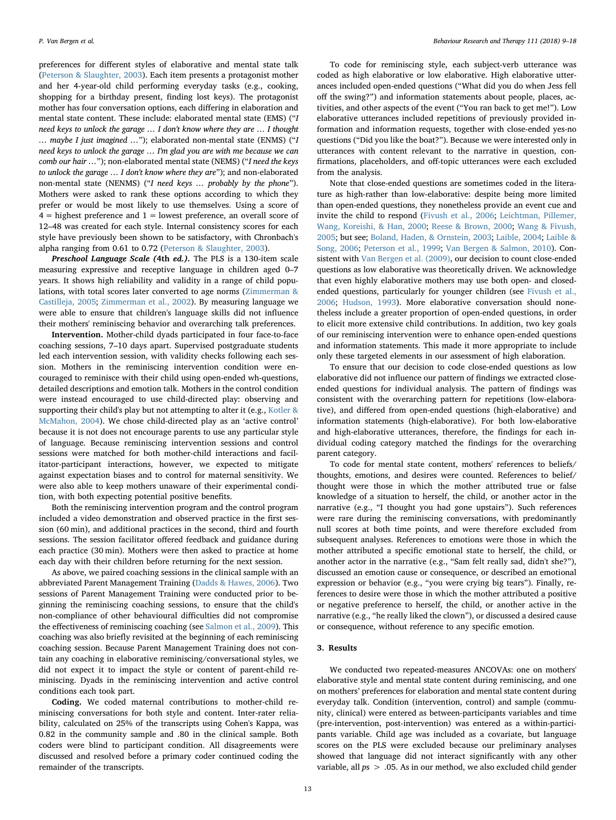preferences for different styles of elaborative and mental state talk ([Peterson & Slaughter, 2003\)](#page-9-26). Each item presents a protagonist mother and her 4-year-old child performing everyday tasks (e.g., cooking, shopping for a birthday present, finding lost keys). The protagonist mother has four conversation options, each differing in elaboration and mental state content. These include: elaborated mental state (EMS) ("I need keys to unlock the garage … I don't know where they are … I thought … maybe I just imagined …"); elaborated non-mental state (ENMS) ("I need keys to unlock the garage … I'm glad you are with me because we can comb our hair …"); non-elaborated mental state (NEMS) ("I need the keys to unlock the garage … I don't know where they are"); and non-elaborated non-mental state (NENMS) ("I need keys … probably by the phone"). Mothers were asked to rank these options according to which they prefer or would be most likely to use themselves. Using a score of  $4 =$  highest preference and  $1 =$  lowest preference, an overall score of 12–48 was created for each style. Internal consistency scores for each style have previously been shown to be satisfactory, with Chronbach's alpha ranging from 0.61 to 0.72 [\(Peterson & Slaughter, 2003\)](#page-9-26).

Preschool Language Scale (4th ed.). The PLS is a 130-item scale measuring expressive and receptive language in children aged 0–7 years. It shows high reliability and validity in a range of child populations, with total scores later converted to age norms [\(Zimmerman &](#page-9-32) [Castilleja, 2005;](#page-9-32) [Zimmerman et al., 2002\)](#page-9-31). By measuring language we were able to ensure that children's language skills did not influence their mothers' reminiscing behavior and overarching talk preferences.

Intervention. Mother-child dyads participated in four face-to-face coaching sessions, 7–10 days apart. Supervised postgraduate students led each intervention session, with validity checks following each session. Mothers in the reminiscing intervention condition were encouraged to reminisce with their child using open-ended wh-questions, detailed descriptions and emotion talk. Mothers in the control condition were instead encouraged to use child-directed play: observing and supporting their child's play but not attempting to alter it (e.g., [Kotler &](#page-9-33) [McMahon, 2004](#page-9-33)). We chose child-directed play as an 'active control' because it is not does not encourage parents to use any particular style of language. Because reminiscing intervention sessions and control sessions were matched for both mother-child interactions and facilitator-participant interactions, however, we expected to mitigate against expectation biases and to control for maternal sensitivity. We were also able to keep mothers unaware of their experimental condition, with both expecting potential positive benefits.

Both the reminiscing intervention program and the control program included a video demonstration and observed practice in the first session (60 min), and additional practices in the second, third and fourth sessions. The session facilitator offered feedback and guidance during each practice (30 min). Mothers were then asked to practice at home each day with their children before returning for the next session.

As above, we paired coaching sessions in the clinical sample with an abbreviated Parent Management Training [\(Dadds & Hawes, 2006](#page-8-4)). Two sessions of Parent Management Training were conducted prior to beginning the reminiscing coaching sessions, to ensure that the child's non-compliance of other behavioural difficulties did not compromise the effectiveness of reminiscing coaching (see [Salmon et al., 2009\)](#page-9-21). This coaching was also briefly revisited at the beginning of each reminiscing coaching session. Because Parent Management Training does not contain any coaching in elaborative reminiscing/conversational styles, we did not expect it to impact the style or content of parent-child reminiscing. Dyads in the reminiscing intervention and active control conditions each took part.

Coding. We coded maternal contributions to mother-child reminiscing conversations for both style and content. Inter-rater reliability, calculated on 25% of the transcripts using Cohen's Kappa, was 0.82 in the community sample and .80 in the clinical sample. Both coders were blind to participant condition. All disagreements were discussed and resolved before a primary coder continued coding the remainder of the transcripts.

To code for reminiscing style, each subject-verb utterance was coded as high elaborative or low elaborative. High elaborative utterances included open-ended questions ("What did you do when Jess fell off the swing?") and information statements about people, places, activities, and other aspects of the event ("You ran back to get me!"). Low elaborative utterances included repetitions of previously provided information and information requests, together with close-ended yes-no questions ("Did you like the boat?"). Because we were interested only in utterances with content relevant to the narrative in question, confirmations, placeholders, and off-topic utterances were each excluded from the analysis.

Note that close-ended questions are sometimes coded in the literature as high-rather than low-elaborative: despite being more limited than open-ended questions, they nonetheless provide an event cue and invite the child to respond ([Fivush et al., 2006](#page-9-0); [Leichtman, Pillemer,](#page-9-34) [Wang, Koreishi, & Han, 2000](#page-9-34); [Reese & Brown, 2000](#page-9-35); [Wang & Fivush,](#page-9-36) [2005;](#page-9-36) but see; [Boland, Haden, & Ornstein, 2003;](#page-8-5) [Laible, 2004;](#page-9-37) [Laible &](#page-9-38) [Song, 2006;](#page-9-38) [Peterson et al., 1999](#page-9-9); [Van Bergen & Salmon, 2010](#page-9-8)). Consistent with [Van Bergen et al. \(2009\),](#page-9-7) our decision to count close-ended questions as low elaborative was theoretically driven. We acknowledge that even highly elaborative mothers may use both open- and closedended questions, particularly for younger children (see [Fivush et al.,](#page-9-0) [2006;](#page-9-0) [Hudson,](#page-9-39) 1993). More elaborative conversation should nonetheless include a greater proportion of open-ended questions, in order to elicit more extensive child contributions. In addition, two key goals of our reminiscing intervention were to enhance open-ended questions and information statements. This made it more appropriate to include only these targeted elements in our assessment of high elaboration.

To ensure that our decision to code close-ended questions as low elaborative did not influence our pattern of findings we extracted closeended questions for individual analysis. The pattern of findings was consistent with the overarching pattern for repetitions (low-elaborative), and differed from open-ended questions (high-elaborative) and information statements (high-elaborative). For both low-elaborative and high-elaborative utterances, therefore, the findings for each individual coding category matched the findings for the overarching parent category.

To code for mental state content, mothers' references to beliefs/ thoughts, emotions, and desires were counted. References to belief/ thought were those in which the mother attributed true or false knowledge of a situation to herself, the child, or another actor in the narrative (e.g., "I thought you had gone upstairs"). Such references were rare during the reminiscing conversations, with predominantly null scores at both time points, and were therefore excluded from subsequent analyses. References to emotions were those in which the mother attributed a specific emotional state to herself, the child, or another actor in the narrative (e.g., "Sam felt really sad, didn't she?"), discussed an emotion cause or consequence, or described an emotional expression or behavior (e.g., "you were crying big tears"). Finally, references to desire were those in which the mother attributed a positive or negative preference to herself, the child, or another active in the narrative (e.g., "he really liked the clown"), or discussed a desired cause or consequence, without reference to any specific emotion.

#### 3. Results

We conducted two repeated-measures ANCOVAs: one on mothers' elaborative style and mental state content during reminiscing, and one on mothers' preferences for elaboration and mental state content during everyday talk. Condition (intervention, control) and sample (community, clinical) were entered as between-participants variables and time (pre-intervention, post-intervention) was entered as a within-participants variable. Child age was included as a covariate, but language scores on the PLS were excluded because our preliminary analyses showed that language did not interact significantly with any other variable, all ps > .05. As in our method, we also excluded child gender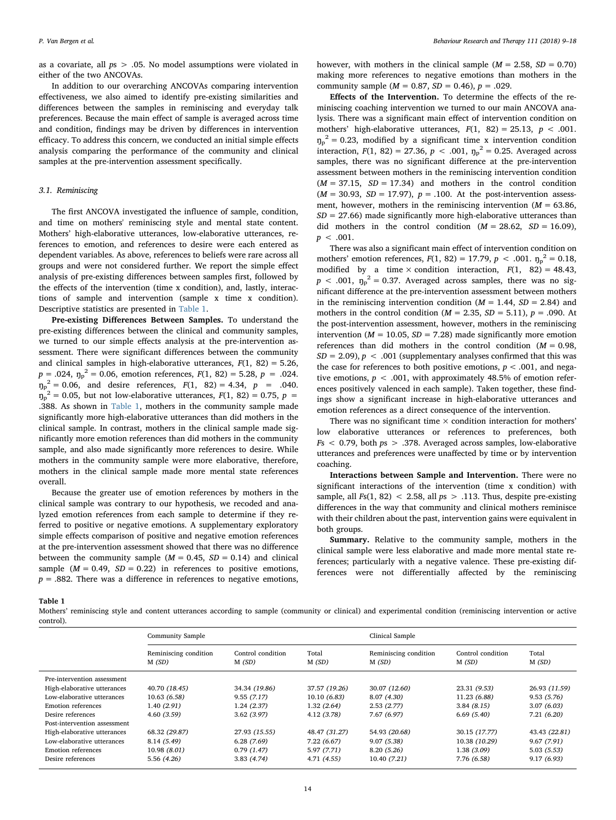as a covariate, all  $ps > .05$ . No model assumptions were violated in either of the two ANCOVAs.

In addition to our overarching ANCOVAs comparing intervention effectiveness, we also aimed to identify pre-existing similarities and differences between the samples in reminiscing and everyday talk preferences. Because the main effect of sample is averaged across time and condition, findings may be driven by differences in intervention efficacy. To address this concern, we conducted an initial simple effects analysis comparing the performance of the community and clinical samples at the pre-intervention assessment specifically.

## 3.1. Reminiscing

The first ANCOVA investigated the influence of sample, condition, and time on mothers' reminiscing style and mental state content. Mothers' high-elaborative utterances, low-elaborative utterances, references to emotion, and references to desire were each entered as dependent variables. As above, references to beliefs were rare across all groups and were not considered further. We report the simple effect analysis of pre-existing differences between samples first, followed by the effects of the intervention (time x condition), and, lastly, interactions of sample and intervention (sample x time x condition). Descriptive statistics are presented in [Table 1.](#page-5-0)

Pre-existing Differences Between Samples. To understand the pre-existing differences between the clinical and community samples, we turned to our simple effects analysis at the pre-intervention assessment. There were significant differences between the community and clinical samples in high-elaborative utterances,  $F(1, 82) = 5.26$ ,  $p = .024$ ,  $\eta_p^2 = 0.06$ , emotion references,  $F(1, 82) = 5.28$ ,  $p = .024$ .  $\eta_p^2 = 0.06$ , and desire references,  $F(1, 82) = 4.34$ ,  $p = .040$ .  $\eta_p^2$  = 0.05, but not low-elaborative utterances,  $F(1, 82) = 0.75$ ,  $p =$ .388. As shown in [Table 1](#page-5-0), mothers in the community sample made significantly more high-elaborative utterances than did mothers in the clinical sample. In contrast, mothers in the clinical sample made significantly more emotion references than did mothers in the community sample, and also made significantly more references to desire. While mothers in the community sample were more elaborative, therefore, mothers in the clinical sample made more mental state references overall.

Because the greater use of emotion references by mothers in the clinical sample was contrary to our hypothesis, we recoded and analyzed emotion references from each sample to determine if they referred to positive or negative emotions. A supplementary exploratory simple effects comparison of positive and negative emotion references at the pre-intervention assessment showed that there was no difference between the community sample  $(M = 0.45, SD = 0.14)$  and clinical sample  $(M = 0.49, SD = 0.22)$  in references to positive emotions,  $p = .882$ . There was a difference in references to negative emotions,

however, with mothers in the clinical sample ( $M = 2.58$ ,  $SD = 0.70$ ) making more references to negative emotions than mothers in the community sample ( $M = 0.87$ ,  $SD = 0.46$ ),  $p = .029$ .

Effects of the Intervention. To determine the effects of the reminiscing coaching intervention we turned to our main ANCOVA analysis. There was a significant main effect of intervention condition on mothers' high-elaborative utterances,  $F(1, 82) = 25.13, p < .001$ .  $\eta_p^2$  = 0.23, modified by a significant time x intervention condition interaction,  $F(1, 82) = 27.36$ ,  $p < .001$ ,  $\eta_p^2 = 0.25$ . Averaged across samples, there was no significant difference at the pre-intervention assessment between mothers in the reminiscing intervention condition  $(M = 37.15, SD = 17.34)$  and mothers in the control condition  $(M = 30.93, SD = 17.97), p = .100$ . At the post-intervention assessment, however, mothers in the reminiscing intervention ( $M = 63.86$ ,  $SD = 27.66$ ) made significantly more high-elaborative utterances than did mothers in the control condition  $(M = 28.62, SD = 16.09)$ ,  $p < .001$ .

There was also a significant main effect of intervention condition on mothers' emotion references,  $F(1, 82) = 17.79$ ,  $p < .001$ .  $\eta_p^2 = 0.18$ , modified by a time  $\times$  condition interaction,  $F(1, 82) = 48.43$ ,  $p < .001$ ,  $\eta_p^2 = 0.37$ . Averaged across samples, there was no significant difference at the pre-intervention assessment between mothers in the reminiscing intervention condition ( $M = 1.44$ ,  $SD = 2.84$ ) and mothers in the control condition ( $M = 2.35$ ,  $SD = 5.11$ ),  $p = .090$ . At the post-intervention assessment, however, mothers in the reminiscing intervention ( $M = 10.05$ ,  $SD = 7.28$ ) made significantly more emotion references than did mothers in the control condition  $(M = 0.98,$  $SD = 2.09$ ),  $p < .001$  (supplementary analyses confirmed that this was the case for references to both positive emotions,  $p < .001$ , and negative emotions,  $p < .001$ , with approximately 48.5% of emotion references positively valenced in each sample). Taken together, these findings show a significant increase in high-elaborative utterances and emotion references as a direct consequence of the intervention.

There was no significant time  $\times$  condition interaction for mothers' low elaborative utterances or references to preferences, both  $Fs$  < 0.79, both  $ps$  > .378. Averaged across samples, low-elaborative utterances and preferences were unaffected by time or by intervention coaching.

Interactions between Sample and Intervention. There were no significant interactions of the intervention (time x condition) with sample, all  $Fs(1, 82) < 2.58$ , all  $ps > .113$ . Thus, despite pre-existing differences in the way that community and clinical mothers reminisce with their children about the past, intervention gains were equivalent in both groups.

Summary. Relative to the community sample, mothers in the clinical sample were less elaborative and made more mental state references; particularly with a negative valence. These pre-existing differences were not differentially affected by the reminiscing

<span id="page-5-0"></span>Table 1

Mothers' reminiscing style and content utterances according to sample (community or clinical) and experimental condition (reminiscing intervention or active control).

|                              | Community Sample               |                            |                | Clinical Sample                |                            |                |
|------------------------------|--------------------------------|----------------------------|----------------|--------------------------------|----------------------------|----------------|
|                              | Reminiscing condition<br>M(SD) | Control condition<br>M(SD) | Total<br>M(SD) | Reminiscing condition<br>M(SD) | Control condition<br>M(SD) | Total<br>M(SD) |
| Pre-intervention assessment  |                                |                            |                |                                |                            |                |
| High-elaborative utterances  | 40.70 (18.45)                  | 34.34 (19.86)              | 37.57 (19.26)  | 30.07 (12.60)                  | 23.31 (9.53)               | 26.93 (11.59)  |
| Low-elaborative utterances   | 10.63(6.58)                    | 9.55(7.17)                 | 10.10 (6.83)   | 8.07(4.30)                     | 11.23 (6.88)               | 9.53(5.76)     |
| Emotion references           | 1.40(2.91)                     | 1.24(2.37)                 | 1.32(2.64)     | 2.53(2.77)                     | 3.84(8.15)                 | 3.07(6.03)     |
| Desire references            | 4.60(3.59)                     | 3.62(3.97)                 | 4.12(3.78)     | 7.67 (6.97)                    | 6.69(5.40)                 | 7.21(6.20)     |
| Post-intervention assessment |                                |                            |                |                                |                            |                |
| High-elaborative utterances  | 68.32 (29.87)                  | 27.93 (15.55)              | 48.47 (31.27)  | 54.93 (20.68)                  | 30.15 (17.77)              | 43.43 (22.81)  |
| Low-elaborative utterances   | 8.14(5.49)                     | 6.28(7.69)                 | 7.22(6.67)     | 9.07(5.38)                     | 10.38 (10.29)              | 9.67(7.91)     |
| Emotion references           | 10.98(8.01)                    | 0.79(1.47)                 | 5.97(7.71)     | 8.20(5.26)                     | 1.38(3.09)                 | 5.03(5.53)     |
| Desire references            | 5.56 (4.26)                    | 3.83(4.74)                 | 4.71 (4.55)    | 10.40 (7.21)                   | 7.76 (6.58)                | 9.17(6.93)     |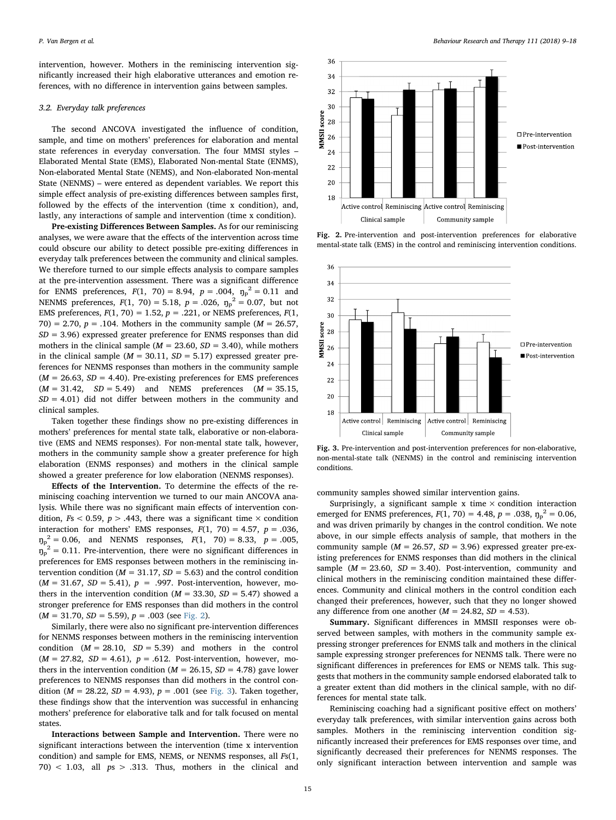intervention, however. Mothers in the reminiscing intervention significantly increased their high elaborative utterances and emotion references, with no difference in intervention gains between samples.

#### 3.2. Everyday talk preferences

The second ANCOVA investigated the influence of condition, sample, and time on mothers' preferences for elaboration and mental state references in everyday conversation. The four MMSI styles – Elaborated Mental State (EMS), Elaborated Non-mental State (ENMS), Non-elaborated Mental State (NEMS), and Non-elaborated Non-mental State (NENMS) – were entered as dependent variables. We report this simple effect analysis of pre-existing differences between samples first, followed by the effects of the intervention (time x condition), and, lastly, any interactions of sample and intervention (time x condition).

Pre-existing Differences Between Samples. As for our reminiscing analyses, we were aware that the effects of the intervention across time could obscure our ability to detect possible pre-exiting differences in everyday talk preferences between the community and clinical samples. We therefore turned to our simple effects analysis to compare samples at the pre-intervention assessment. There was a significant difference for ENMS preferences,  $F(1, 70) = 8.94$ ,  $p = .004$ ,  $\eta_p^2 = 0.11$  and NENMS preferences,  $F(1, 70) = 5.18$ ,  $p = .026$ ,  $\eta_p^2 = 0.07$ , but not EMS preferences,  $F(1, 70) = 1.52$ ,  $p = .221$ , or NEMS preferences,  $F(1, 70) = 1.52$ ,  $p = .221$ , or NEMS preferences,  $F(1, 70) = 1.52$ 70) = 2.70,  $p = .104$ . Mothers in the community sample ( $M = 26.57$ ,  $SD = 3.96$ ) expressed greater preference for ENMS responses than did mothers in the clinical sample ( $M = 23.60$ ,  $SD = 3.40$ ), while mothers in the clinical sample ( $M = 30.11$ ,  $SD = 5.17$ ) expressed greater preferences for NENMS responses than mothers in the community sample  $(M = 26.63, SD = 4.40)$ . Pre-existing preferences for EMS preferences  $(M = 31.42, SD = 5.49)$  and NEMS preferences  $(M = 35.15,$  $SD = 4.01$ ) did not differ between mothers in the community and clinical samples.

Taken together these findings show no pre-existing differences in mothers' preferences for mental state talk, elaborative or non-elaborative (EMS and NEMS responses). For non-mental state talk, however, mothers in the community sample show a greater preference for high elaboration (ENMS responses) and mothers in the clinical sample showed a greater preference for low elaboration (NENMS responses).

Effects of the Intervention. To determine the effects of the reminiscing coaching intervention we turned to our main ANCOVA analysis. While there was no significant main effects of intervention condition,  $Fs < 0.59$ ,  $p > .443$ , there was a significant time  $\times$  condition interaction for mothers' EMS responses,  $F(1, 70) = 4.57$ ,  $p = .036$ ,  $\eta_p^2 = 0.06$ , and NENMS responses,  $F(1, 70) = 8.33$ ,  $p = .005$ ,  $y_p^2$  = 0.11. Pre-intervention, there were no significant differences in preferences for EMS responses between mothers in the reminiscing intervention condition ( $M = 31.17$ ,  $SD = 5.63$ ) and the control condition  $(M = 31.67, SD = 5.41), p = .997$ . Post-intervention, however, mothers in the intervention condition ( $M = 33.30$ ,  $SD = 5.47$ ) showed a stronger preference for EMS responses than did mothers in the control  $(M = 31.70, SD = 5.59), p = .003$  (see [Fig. 2](#page-6-0)).

Similarly, there were also no significant pre-intervention differences for NENMS responses between mothers in the reminiscing intervention condition  $(M = 28.10, SD = 5.39)$  and mothers in the control  $(M = 27.82, SD = 4.61), p = .612$ . Post-intervention, however, mothers in the intervention condition ( $M = 26.15$ ,  $SD = 4.78$ ) gave lower preferences to NENMS responses than did mothers in the control condition ( $M = 28.22$ ,  $SD = 4.93$ ),  $p = .001$  (see [Fig. 3](#page-6-1)). Taken together, these findings show that the intervention was successful in enhancing mothers' preference for elaborative talk and for talk focused on mental states.

Interactions between Sample and Intervention. There were no significant interactions between the intervention (time x intervention condition) and sample for EMS, NEMS, or NENMS responses, all Fs(1,  $70$ ) < 1.03, all  $ps > .313$ . Thus, mothers in the clinical and

<span id="page-6-0"></span>

Fig. 2. Pre-intervention and post-intervention preferences for elaborative mental-state talk (EMS) in the control and reminiscing intervention conditions.

<span id="page-6-1"></span>

Fig. 3. Pre-intervention and post-intervention preferences for non-elaborative, non-mental-state talk (NENMS) in the control and reminiscing intervention conditions.

community samples showed similar intervention gains.

Surprisingly, a significant sample  $x$  time  $\times$  condition interaction emerged for ENMS preferences,  $F(1, 70) = 4.48$ ,  $p = .038$ ,  $\eta_p^2 = 0.06$ , and was driven primarily by changes in the control condition. We note above, in our simple effects analysis of sample, that mothers in the community sample ( $M = 26.57$ ,  $SD = 3.96$ ) expressed greater pre-existing preferences for ENMS responses than did mothers in the clinical sample ( $M = 23.60$ ,  $SD = 3.40$ ). Post-intervention, community and clinical mothers in the reminiscing condition maintained these differences. Community and clinical mothers in the control condition each changed their preferences, however, such that they no longer showed any difference from one another ( $M = 24.82$ ,  $SD = 4.53$ ).

Summary. Significant differences in MMSII responses were observed between samples, with mothers in the community sample expressing stronger preferences for ENMS talk and mothers in the clinical sample expressing stronger preferences for NENMS talk. There were no significant differences in preferences for EMS or NEMS talk. This suggests that mothers in the community sample endorsed elaborated talk to a greater extent than did mothers in the clinical sample, with no differences for mental state talk.

Reminiscing coaching had a significant positive effect on mothers' everyday talk preferences, with similar intervention gains across both samples. Mothers in the reminiscing intervention condition significantly increased their preferences for EMS responses over time, and significantly decreased their preferences for NENMS responses. The only significant interaction between intervention and sample was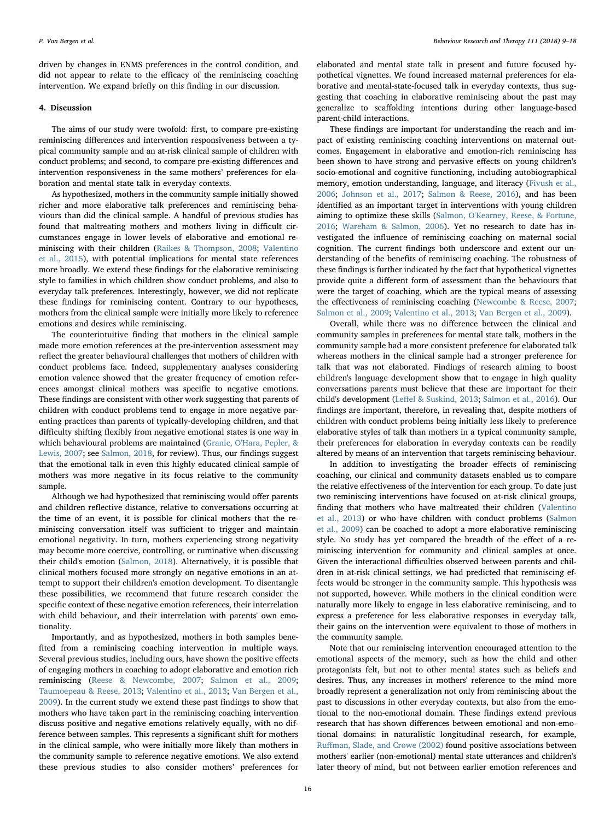driven by changes in ENMS preferences in the control condition, and did not appear to relate to the efficacy of the reminiscing coaching intervention. We expand briefly on this finding in our discussion.

#### 4. Discussion

The aims of our study were twofold: first, to compare pre-existing reminiscing differences and intervention responsiveness between a typical community sample and an at-risk clinical sample of children with conduct problems; and second, to compare pre-existing differences and intervention responsiveness in the same mothers' preferences for elaboration and mental state talk in everyday contexts.

As hypothesized, mothers in the community sample initially showed richer and more elaborative talk preferences and reminiscing behaviours than did the clinical sample. A handful of previous studies has found that maltreating mothers and mothers living in difficult circumstances engage in lower levels of elaborative and emotional reminiscing with their children ([Raikes & Thompson, 2008;](#page-9-4) [Valentino](#page-9-13) [et al., 2015](#page-9-13)), with potential implications for mental state references more broadly. We extend these findings for the elaborative reminiscing style to families in which children show conduct problems, and also to everyday talk preferences. Interestingly, however, we did not replicate these findings for reminiscing content. Contrary to our hypotheses, mothers from the clinical sample were initially more likely to reference emotions and desires while reminiscing.

The counterintuitive finding that mothers in the clinical sample made more emotion references at the pre-intervention assessment may reflect the greater behavioural challenges that mothers of children with conduct problems face. Indeed, supplementary analyses considering emotion valence showed that the greater frequency of emotion references amongst clinical mothers was specific to negative emotions. These findings are consistent with other work suggesting that parents of children with conduct problems tend to engage in more negative parenting practices than parents of typically-developing children, and that difficulty shifting flexibly from negative emotional states is one way in which behavioural problems are maintained [\(Granic, O'Hara, Pepler, &](#page-9-40) [Lewis, 2007](#page-9-40); see [Salmon, 2018](#page-9-20), for review). Thus, our findings suggest that the emotional talk in even this highly educated clinical sample of mothers was more negative in its focus relative to the community sample.

Although we had hypothesized that reminiscing would offer parents and children reflective distance, relative to conversations occurring at the time of an event, it is possible for clinical mothers that the reminiscing conversation itself was sufficient to trigger and maintain emotional negativity. In turn, mothers experiencing strong negativity may become more coercive, controlling, or ruminative when discussing their child's emotion ([Salmon, 2018](#page-9-20)). Alternatively, it is possible that clinical mothers focused more strongly on negative emotions in an attempt to support their children's emotion development. To disentangle these possibilities, we recommend that future research consider the specific context of these negative emotion references, their interrelation with child behaviour, and their interrelation with parents' own emotionality.

Importantly, and as hypothesized, mothers in both samples benefited from a reminiscing coaching intervention in multiple ways. Several previous studies, including ours, have shown the positive effects of engaging mothers in coaching to adopt elaborative and emotion rich reminiscing ([Reese & Newcombe, 2007;](#page-9-10) [Salmon et al., 2009](#page-9-21); [Taumoepeau & Reese, 2013;](#page-9-6) [Valentino et al., 2013;](#page-9-22) [Van Bergen et al.,](#page-9-7) [2009\)](#page-9-7). In the current study we extend these past findings to show that mothers who have taken part in the reminiscing coaching intervention discuss positive and negative emotions relatively equally, with no difference between samples. This represents a significant shift for mothers in the clinical sample, who were initially more likely than mothers in the community sample to reference negative emotions. We also extend these previous studies to also consider mothers' preferences for

elaborated and mental state talk in present and future focused hypothetical vignettes. We found increased maternal preferences for elaborative and mental-state-focused talk in everyday contexts, thus suggesting that coaching in elaborative reminiscing about the past may generalize to scaffolding intentions during other language-based parent-child interactions.

These findings are important for understanding the reach and impact of existing reminiscing coaching interventions on maternal outcomes. Engagement in elaborative and emotion-rich reminiscing has been shown to have strong and pervasive effects on young children's socio-emotional and cognitive functioning, including autobiographical memory, emotion understanding, language, and literacy ([Fivush et al.,](#page-9-0) [2006;](#page-9-0) [Johnson et al., 2017;](#page-9-15) [Salmon & Reese, 2016\)](#page-9-1), and has been identified as an important target in interventions with young children aiming to optimize these skills [\(Salmon, O'Kearney, Reese, & Fortune,](#page-9-41) [2016;](#page-9-41) [Wareham & Salmon, 2006](#page-9-2)). Yet no research to date has investigated the influence of reminiscing coaching on maternal social cognition. The current findings both underscore and extent our understanding of the benefits of reminiscing coaching. The robustness of these findings is further indicated by the fact that hypothetical vignettes provide quite a different form of assessment than the behaviours that were the target of coaching, which are the typical means of assessing the effectiveness of reminiscing coaching [\(Newcombe & Reese, 2007](#page-9-10); [Salmon et al., 2009](#page-9-21); [Valentino et al., 2013;](#page-9-22) [Van Bergen et al., 2009\)](#page-9-7).

Overall, while there was no difference between the clinical and community samples in preferences for mental state talk, mothers in the community sample had a more consistent preference for elaborated talk whereas mothers in the clinical sample had a stronger preference for talk that was not elaborated. Findings of research aiming to boost children's language development show that to engage in high quality conversations parents must believe that these are important for their child's development (Leff[el & Suskind, 2013;](#page-9-42) [Salmon et al., 2016](#page-9-41)). Our findings are important, therefore, in revealing that, despite mothers of children with conduct problems being initially less likely to preference elaborative styles of talk than mothers in a typical community sample, their preferences for elaboration in everyday contexts can be readily altered by means of an intervention that targets reminiscing behaviour.

In addition to investigating the broader effects of reminiscing coaching, our clinical and community datasets enabled us to compare the relative effectiveness of the intervention for each group. To date just two reminiscing interventions have focused on at-risk clinical groups, finding that mothers who have maltreated their children ([Valentino](#page-9-22) [et al., 2013\)](#page-9-22) or who have children with conduct problems [\(Salmon](#page-9-21) [et al., 2009](#page-9-21)) can be coached to adopt a more elaborative reminiscing style. No study has yet compared the breadth of the effect of a reminiscing intervention for community and clinical samples at once. Given the interactional difficulties observed between parents and children in at-risk clinical settings, we had predicted that reminiscing effects would be stronger in the community sample. This hypothesis was not supported, however. While mothers in the clinical condition were naturally more likely to engage in less elaborative reminiscing, and to express a preference for less elaborative responses in everyday talk, their gains on the intervention were equivalent to those of mothers in the community sample.

Note that our reminiscing intervention encouraged attention to the emotional aspects of the memory, such as how the child and other protagonists felt, but not to other mental states such as beliefs and desires. Thus, any increases in mothers' reference to the mind more broadly represent a generalization not only from reminiscing about the past to discussions in other everyday contexts, but also from the emotional to the non-emotional domain. These findings extend previous research that has shown differences between emotional and non-emotional domains: in naturalistic longitudinal research, for example, Ruff[man, Slade, and Crowe \(2002\)](#page-9-43) found positive associations between mothers' earlier (non-emotional) mental state utterances and children's later theory of mind, but not between earlier emotion references and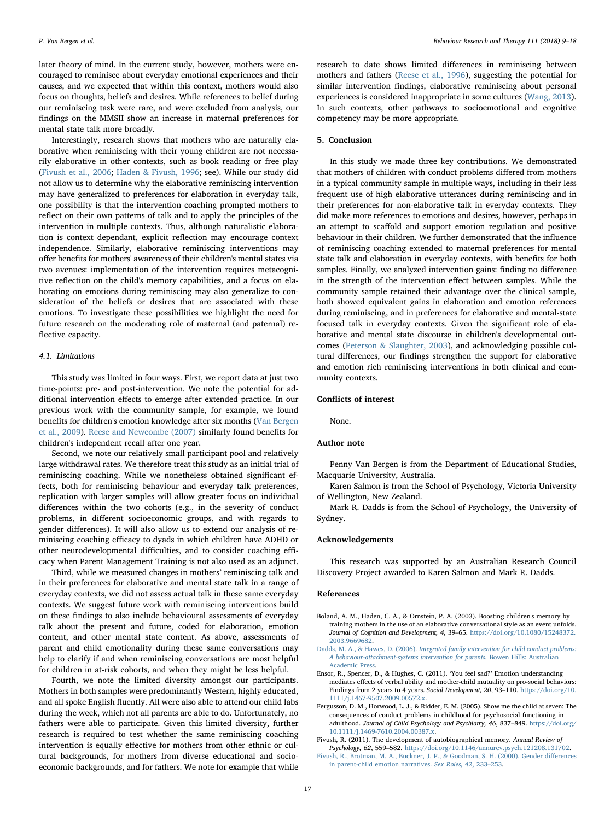later theory of mind. In the current study, however, mothers were encouraged to reminisce about everyday emotional experiences and their causes, and we expected that within this context, mothers would also focus on thoughts, beliefs and desires. While references to belief during our reminiscing task were rare, and were excluded from analysis, our findings on the MMSII show an increase in maternal preferences for mental state talk more broadly.

Interestingly, research shows that mothers who are naturally elaborative when reminiscing with their young children are not necessarily elaborative in other contexts, such as book reading or free play ([Fivush et al., 2006;](#page-9-0) [Haden & Fivush, 1996;](#page-9-44) see). While our study did not allow us to determine why the elaborative reminiscing intervention may have generalized to preferences for elaboration in everyday talk, one possibility is that the intervention coaching prompted mothers to reflect on their own patterns of talk and to apply the principles of the intervention in multiple contexts. Thus, although naturalistic elaboration is context dependant, explicit reflection may encourage context independence. Similarly, elaborative reminiscing interventions may offer benefits for mothers' awareness of their children's mental states via two avenues: implementation of the intervention requires metacognitive reflection on the child's memory capabilities, and a focus on elaborating on emotions during reminiscing may also generalize to consideration of the beliefs or desires that are associated with these emotions. To investigate these possibilities we highlight the need for future research on the moderating role of maternal (and paternal) reflective capacity.

#### 4.1. Limitations

This study was limited in four ways. First, we report data at just two time-points: pre- and post-intervention. We note the potential for additional intervention effects to emerge after extended practice. In our previous work with the community sample, for example, we found benefits for children's emotion knowledge after six months [\(Van Bergen](#page-9-7) [et al., 2009](#page-9-7)). [Reese and Newcombe \(2007\)](#page-9-10) similarly found benefits for children's independent recall after one year.

Second, we note our relatively small participant pool and relatively large withdrawal rates. We therefore treat this study as an initial trial of reminiscing coaching. While we nonetheless obtained significant effects, both for reminiscing behaviour and everyday talk preferences, replication with larger samples will allow greater focus on individual differences within the two cohorts (e.g., in the severity of conduct problems, in different socioeconomic groups, and with regards to gender differences). It will also allow us to extend our analysis of reminiscing coaching efficacy to dyads in which children have ADHD or other neurodevelopmental difficulties, and to consider coaching efficacy when Parent Management Training is not also used as an adjunct.

Third, while we measured changes in mothers' reminiscing talk and in their preferences for elaborative and mental state talk in a range of everyday contexts, we did not assess actual talk in these same everyday contexts. We suggest future work with reminiscing interventions build on these findings to also include behavioural assessments of everyday talk about the present and future, coded for elaboration, emotion content, and other mental state content. As above, assessments of parent and child emotionality during these same conversations may help to clarify if and when reminiscing conversations are most helpful for children in at-risk cohorts, and when they might be less helpful.

Fourth, we note the limited diversity amongst our participants. Mothers in both samples were predominantly Western, highly educated, and all spoke English fluently. All were also able to attend our child labs during the week, which not all parents are able to do. Unfortunately, no fathers were able to participate. Given this limited diversity, further research is required to test whether the same reminiscing coaching intervention is equally effective for mothers from other ethnic or cultural backgrounds, for mothers from diverse educational and socioeconomic backgrounds, and for fathers. We note for example that while research to date shows limited differences in reminiscing between mothers and fathers ([Reese et al., 1996](#page-9-30)), suggesting the potential for similar intervention findings, elaborative reminiscing about personal experiences is considered inappropriate in some cultures ([Wang, 2013](#page-9-45)). In such contexts, other pathways to socioemotional and cognitive competency may be more appropriate.

#### 5. Conclusion

In this study we made three key contributions. We demonstrated that mothers of children with conduct problems differed from mothers in a typical community sample in multiple ways, including in their less frequent use of high elaborative utterances during reminiscing and in their preferences for non-elaborative talk in everyday contexts. They did make more references to emotions and desires, however, perhaps in an attempt to scaffold and support emotion regulation and positive behaviour in their children. We further demonstrated that the influence of reminiscing coaching extended to maternal preferences for mental state talk and elaboration in everyday contexts, with benefits for both samples. Finally, we analyzed intervention gains: finding no difference in the strength of the intervention effect between samples. While the community sample retained their advantage over the clinical sample, both showed equivalent gains in elaboration and emotion references during reminiscing, and in preferences for elaborative and mental-state focused talk in everyday contexts. Given the significant role of elaborative and mental state discourse in children's developmental outcomes [\(Peterson & Slaughter, 2003\)](#page-9-26), and acknowledging possible cultural differences, our findings strengthen the support for elaborative and emotion rich reminiscing interventions in both clinical and community contexts.

## Conflicts of interest

None.

## Author note

Penny Van Bergen is from the Department of Educational Studies, Macquarie University, Australia.

Karen Salmon is from the School of Psychology, Victoria University of Wellington, New Zealand.

Mark R. Dadds is from the School of Psychology, the University of Sydney.

#### Acknowledgements

This research was supported by an Australian Research Council Discovery Project awarded to Karen Salmon and Mark R. Dadds.

#### References

- <span id="page-8-5"></span>Boland, A. M., Haden, C. A., & Ornstein, P. A. (2003). Boosting children's memory by training mothers in the use of an elaborative conversational style as an event unfolds. Journal of Cognition and Development, 4, 39–65. [https://doi.org/10.1080/15248372.](https://doi.org/10.1080/15248372.2003.9669682) [2003.9669682.](https://doi.org/10.1080/15248372.2003.9669682)
- <span id="page-8-4"></span>Dadds, M. A., & Hawes, D. (2006). [Integrated family intervention for child conduct problems:](http://refhub.elsevier.com/S0005-7967(18)30139-6/sref2) [A behaviour-attachment-systems intervention for parents.](http://refhub.elsevier.com/S0005-7967(18)30139-6/sref2) Bowen Hills: Australian [Academic Press.](http://refhub.elsevier.com/S0005-7967(18)30139-6/sref2)
- <span id="page-8-1"></span>Ensor, R., Spencer, D., & Hughes, C. (2011). 'You feel sad?' Emotion understanding mediates effects of verbal ability and mother-child mutuality on pro-social behaviors: Findings from 2 years to 4 years. Social Development, 20, 93–110. [https://doi.org/10.](https://doi.org/10.1111/j.1467-9507.2009.00572.x) [1111/j.1467-9507.2009.00572.x](https://doi.org/10.1111/j.1467-9507.2009.00572.x).
- <span id="page-8-3"></span>Fergusson, D. M., Horwood, L. J., & Ridder, E. M. (2005). Show me the child at seven: The consequences of conduct problems in childhood for psychosocial functioning in adulthood. Journal of Child Psychology and Psychiatry, 46, 837-849. [https://doi.org/](https://doi.org/10.1111/j.1469-7610.2004.00387.x) [10.1111/j.1469-7610.2004.00387.x](https://doi.org/10.1111/j.1469-7610.2004.00387.x).
- <span id="page-8-0"></span>Fivush, R. (2011). The development of autobiographical memory. Annual Review of Psychology, 62, 559–582. [https://doi.org/10.1146/annurev.psych.121208.131702.](https://doi.org/10.1146/annurev.psych.121208.131702)
- <span id="page-8-2"></span>[Fivush, R., Brotman, M. A., Buckner, J. P., & Goodman, S. H. \(2000\). Gender di](http://refhub.elsevier.com/S0005-7967(18)30139-6/sref6)fferences [in parent-child emotion narratives.](http://refhub.elsevier.com/S0005-7967(18)30139-6/sref6) Sex Roles, 42, 233–253.